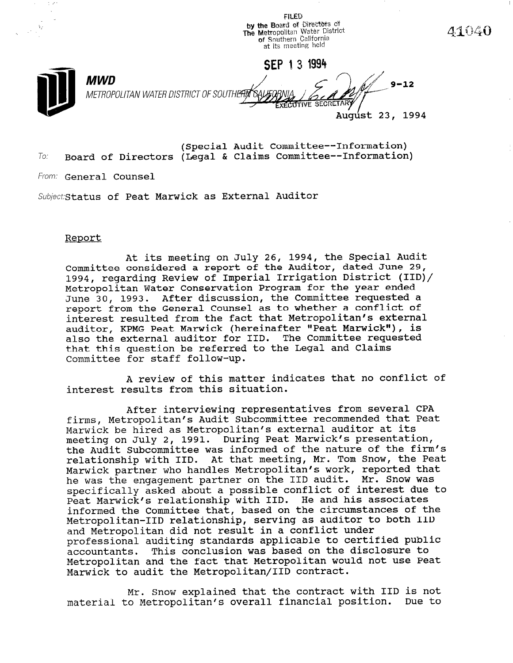**FILED** by the Board of Directors of The Metropolitan Water District<br>of Southern California at its meeting held

SEP 13 1994



MWD METROPOLITAN WATER DISTRICT OF SOUTHERIT OA

Augúst 23, 1994

41040

(Special Audit Committee--Information)  $To:$  Board of Directors (Legal & Claims Committee--Information)

From: General Counsel

Subject: Status of Peat Marwick as External Auditor

## Report

At its meeting on July 26, 1994, the Special Audit Committee considered a report of the Auditor, dated June 29, 1994, regarding Review of Imperial Irrigation District (IID)/ Metropolitan Water Conservation Program for the year ended June 30, 1993. After discussion, the Committee requested a report from the General Counsel as to whether a conflict of interest resulted from the fact that Metropolitan's external auditor, KPMG Peat Marwick (hereinafter "Peat Marwick"), is also the external auditor for IID. The Committee requested that this question be referred to the Legal and Claims Committee for staff follow-up.

A review of this matter indicates that no conflict of interest results from this situation.

After interviewing representatives from several CPA firms, Metropolitan's Audit Subcommittee recommended that Peat Marwick be hired as Metropolitan's external auditor at its meeting on July 2, 1991. During Peat Marwick's presentation, the Audit Subcommittee was informed of the nature of the firm's relationship with IID. At that meeting, Mr. Tom Snow, the Peat Marwick partner who handles Metropolitan's work, reported that he was the engagement partner on the IID audit. Mr. Snow was ne was the engagement partner on the 11b address into bhow was Specifically asked about a possible conflict of interest t<br>Deat Marwick's relationship with IID. He and his associat informed the Committee that, based on the circumstances of the INTOTMED THE COMMITTEE THAT, DASED ON THE CITTUMSTANCES OF THE<br>Metropolitan-IID relationship, serving as auditor to both IID Metropolitan-IID relationship, serving as auditor to both IID and Metropolitan did not result in a conflict under dik metropolitan dia not result in a conflict under<br>stational auditing standards applicable to certified publi professional audicing standards appricable to certified public professional and the disclosure to decountants. This conclusion was based on the disclosure to<br>Metropolitan and the fact that Metropolitan would not use Peat Metropolitan and the Iact that Metropolitan

Mr. Snow explained that the contract with IID is not mr. Snow explained that the contract with iip is not<br>The Metropolitan's overall financial position. Due to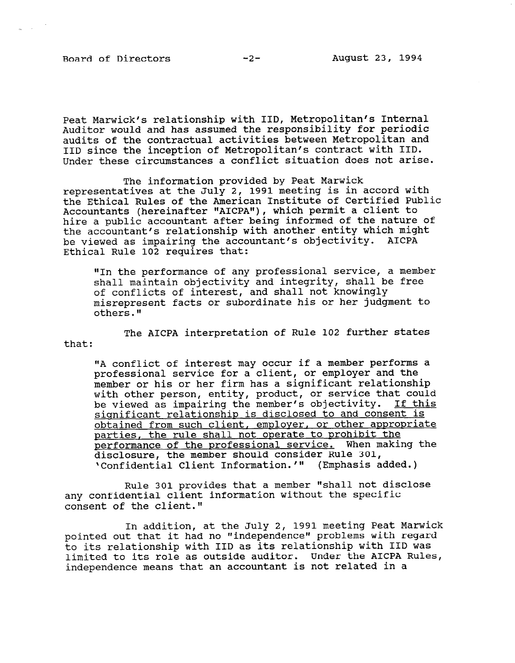Board of Directors -2- August 23, 1994

 $\sim 10^7$ 

Peat Marwick's relationship with IID, Metropolitan's Internal Auditor would and has assumed the responsibility for periodic audits of the contractual activities between Metropolitan and IID since the inception of Metropolitan's contract with IID. Under these circumstances a conflict situation does not arise.

The information provided by Peat Marwick representatives at the July 2, 1991 meeting is in accord with the Ethical Rules of the American Institute of Certified Public Accountants (hereinafter "AICPA"), which permit a client to hire a public accountant after being informed of the nature of iille a public accountant after being informed of the hatare the accountant's relationship with another entity which might be viewed as impairing the accountant's objectivity.<br>Ethical Rule 102 requires that:

'IIn the performance of any professional service, a member shall maintain objectivity and integrity, shall be free shall maintain objectivity and integrity, shall be free of conflicts of interest, and shall not knowingly misrepresent facts or subordinate his or her judgment to others."

The AICPA interpretation of Rule 102 further states that:

 $\mathcal{A}$  conflict of interest may occur if a member performs a member performs a member performs a member performs a member  $\mathcal{A}$ "A conflict of interest may occur it a member performs professional service for a client, or employer and the member or his or her firm has a significant relationship with other person, entity, product, or service that could<br>be viewed as impairing the member's objectivity. If this be viewed as impairing the member's objectivity. significant relationship is disclosed to and consent is obtained from such client, employer, or other appropriate parties, the rule shall not operate to prohibit the performance of the professional service. When making the disclosure, the member should consider Rule 301,<br>'Confidential Client Information.'" (Emphasis added.)

Rule 301 provides that a member "shall not d any confidential client information without the specific consent of the client."

In addition, at the July 2, 1991 meeting Peat Marwick pointed out that it had no "independence" problems with regard to its relationship with IID as its relationship with IID was limited to its role as outside auditor. Under the AICPA Rules, independence means that an accountant is not related in a